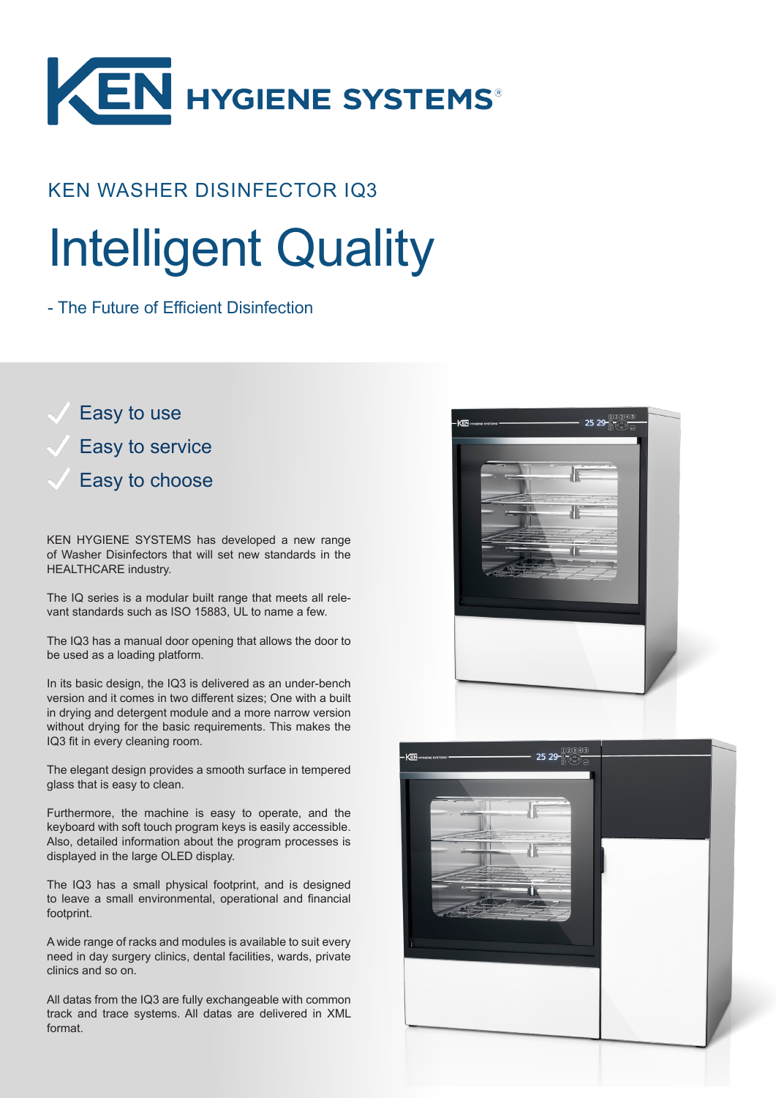

## KEN WASHER DISINFECTOR IQ3

# Intelligent Quality

- The Future of Efficient Disinfection

Easy to use Easy to service Easy to choose

KEN HYGIENE SYSTEMS has developed a new range of Washer Disinfectors that will set new standards in the HEALTHCARE industry.

The IQ series is a modular built range that meets all relevant standards such as ISO 15883, UL to name a few.

The IQ3 has a manual door opening that allows the door to be used as a loading platform.

In its basic design, the IQ3 is delivered as an under-bench version and it comes in two different sizes; One with a built in drying and detergent module and a more narrow version without drying for the basic requirements. This makes the IQ3 fit in every cleaning room.

The elegant design provides a smooth surface in tempered glass that is easy to clean.

Furthermore, the machine is easy to operate, and the keyboard with soft touch program keys is easily accessible. Also, detailed information about the program processes is displayed in the large OLED display.

The IQ3 has a small physical footprint, and is designed to leave a small environmental, operational and financial footprint.

A wide range of racks and modules is available to suit every need in day surgery clinics, dental facilities, wards, private clinics and so on.

All datas from the IQ3 are fully exchangeable with common track and trace systems. All datas are delivered in XML format.